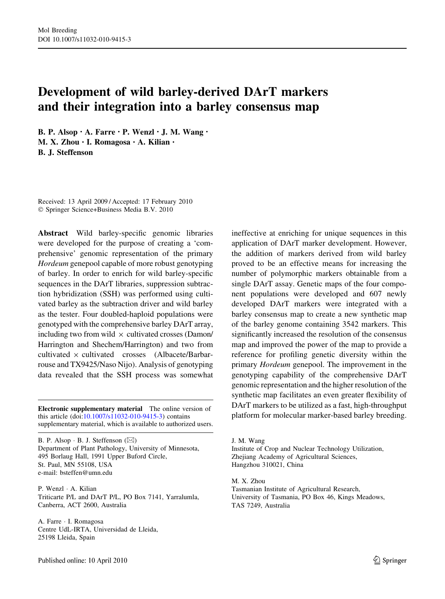# Development of wild barley-derived DArT markers and their integration into a barley consensus map

B. P. Alsop • A. Farre • P. Wenzl • J. M. Wang • M. X. Zhou • I. Romagosa • A. Kilian • B. J. Steffenson

Received: 13 April 2009 / Accepted: 17 February 2010 Springer Science+Business Media B.V. 2010

Abstract Wild barley-specific genomic libraries were developed for the purpose of creating a 'comprehensive' genomic representation of the primary Hordeum genepool capable of more robust genotyping of barley. In order to enrich for wild barley-specific sequences in the DArT libraries, suppression subtraction hybridization (SSH) was performed using cultivated barley as the subtraction driver and wild barley as the tester. Four doubled-haploid populations were genotyped with the comprehensive barley DArT array, including two from wild  $\times$  cultivated crosses (Damon/ Harrington and Shechem/Harrington) and two from cultivated  $\times$  cultivated crosses (Albacete/Barbarrouse and TX9425/Naso Nijo). Analysis of genotyping data revealed that the SSH process was somewhat

this article (doi[:10.1007/s11032-010-9415-3\)](http://dx.doi.org/10.1007/s11032-010-9415-3) contains supplementary material, which is available to authorized users.

B. P. Alsop  $\cdot$  B. J. Steffenson ( $\boxtimes$ ) Department of Plant Pathology, University of Minnesota, 495 Borlaug Hall, 1991 Upper Buford Circle, St. Paul, MN 55108, USA e-mail: bsteffen@umn.edu

P. Wenzl · A. Kilian Triticarte P/L and DArT P/L, PO Box 7141, Yarralumla, Canberra, ACT 2600, Australia

A. Farre · I. Romagosa Centre UdL-IRTA, Universidad de Lleida, 25198 Lleida, Spain

ineffective at enriching for unique sequences in this application of DArT marker development. However, the addition of markers derived from wild barley proved to be an effective means for increasing the number of polymorphic markers obtainable from a single DArT assay. Genetic maps of the four component populations were developed and 607 newly developed DArT markers were integrated with a barley consensus map to create a new synthetic map of the barley genome containing 3542 markers. This significantly increased the resolution of the consensus map and improved the power of the map to provide a reference for profiling genetic diversity within the primary Hordeum genepool. The improvement in the genotyping capability of the comprehensive DArT genomic representation and the higher resolution of the synthetic map facilitates an even greater flexibility of DArT markers to be utilized as a fast, high-throughput **Electronic supplementary material** The online version of DATT markers to be utilized as a fast, high-infoughput this article (doi:10.1007/s11032-010-9415-3) contains platform for molecular marker-based barley breeding.

J. M. Wang

M. X. Zhou

Tasmanian Institute of Agricultural Research, University of Tasmania, PO Box 46, Kings Meadows, TAS 7249, Australia

Institute of Crop and Nuclear Technology Utilization, Zhejiang Academy of Agricultural Sciences, Hangzhou 310021, China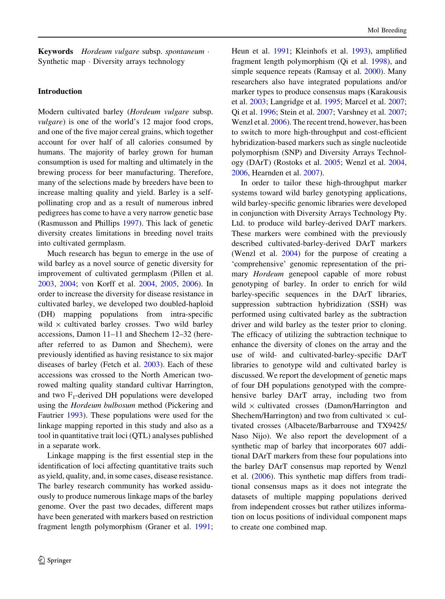Keywords Hordeum vulgare subsp. spontaneum · Synthetic map · Diversity arrays technology

#### Introduction

Modern cultivated barley (Hordeum vulgare subsp. vulgare) is one of the world's 12 major food crops, and one of the five major cereal grains, which together account for over half of all calories consumed by humans. The majority of barley grown for human consumption is used for malting and ultimately in the brewing process for beer manufacturing. Therefore, many of the selections made by breeders have been to increase malting quality and yield. Barley is a selfpollinating crop and as a result of numerous inbred pedigrees has come to have a very narrow genetic base (Rasmusson and Phillips [1997\)](#page-15-0). This lack of genetic diversity creates limitations in breeding novel traits into cultivated germplasm.

Much research has begun to emerge in the use of wild barley as a novel source of genetic diversity for improvement of cultivated germplasm (Pillen et al. [2003,](#page-15-0) [2004](#page-15-0); von Korff et al. [2004,](#page-15-0) [2005](#page-15-0), [2006\)](#page-15-0). In order to increase the diversity for disease resistance in cultivated barley, we developed two doubled-haploid (DH) mapping populations from intra-specific wild  $\times$  cultivated barley crosses. Two wild barley accessions, Damon 11–11 and Shechem 12–32 (hereafter referred to as Damon and Shechem), were previously identified as having resistance to six major diseases of barley (Fetch et al. [2003\)](#page-14-0). Each of these accessions was crossed to the North American tworowed malting quality standard cultivar Harrington, and two  $F_1$ -derived DH populations were developed using the Hordeum bulbosum method (Pickering and Fautrier [1993](#page-15-0)). These populations were used for the linkage mapping reported in this study and also as a tool in quantitative trait loci (QTL) analyses published in a separate work.

Linkage mapping is the first essential step in the identification of loci affecting quantitative traits such as yield, quality, and, in some cases, disease resistance. The barley research community has worked assiduously to produce numerous linkage maps of the barley genome. Over the past two decades, different maps have been generated with markers based on restriction fragment length polymorphism (Graner et al. [1991](#page-14-0); Heun et al. [1991](#page-14-0); Kleinhofs et al. [1993](#page-14-0)), amplified fragment length polymorphism (Qi et al. [1998](#page-15-0)), and simple sequence repeats (Ramsay et al. [2000](#page-15-0)). Many researchers also have integrated populations and/or marker types to produce consensus maps (Karakousis et al. [2003](#page-14-0); Langridge et al. [1995;](#page-14-0) Marcel et al. [2007](#page-15-0); Qi et al. [1996](#page-15-0); Stein et al. [2007;](#page-15-0) Varshney et al. [2007](#page-15-0); Wenzl et al. [2006\)](#page-15-0). The recent trend, however, has been to switch to more high-throughput and cost-efficient hybridization-based markers such as single nucleotide polymorphism (SNP) and Diversity Arrays Technology (DArT) (Rostoks et al. [2005;](#page-15-0) Wenzl et al. [2004,](#page-15-0) [2006,](#page-15-0) Hearnden et al. [2007](#page-14-0)).

In order to tailor these high-throughput marker systems toward wild barley genotyping applications, wild barley-specific genomic libraries were developed in conjunction with Diversity Arrays Technology Pty. Ltd. to produce wild barley-derived DArT markers. These markers were combined with the previously described cultivated-barley-derived DArT markers (Wenzl et al. [2004](#page-15-0)) for the purpose of creating a 'comprehensive' genomic representation of the primary Hordeum genepool capable of more robust genotyping of barley. In order to enrich for wild barley-specific sequences in the DArT libraries, suppression subtraction hybridization (SSH) was performed using cultivated barley as the subtraction driver and wild barley as the tester prior to cloning. The efficacy of utilizing the subtraction technique to enhance the diversity of clones on the array and the use of wild- and cultivated-barley-specific DArT libraries to genotype wild and cultivated barley is discussed. We report the development of genetic maps of four DH populations genotyped with the comprehensive barley DArT array, including two from wild  $\times$  cultivated crosses (Damon/Harrington and Shechem/Harrington) and two from cultivated  $\times$  cultivated crosses (Albacete/Barbarrouse and TX9425/ Naso Nijo). We also report the development of a synthetic map of barley that incorporates 607 additional DArT markers from these four populations into the barley DArT consensus map reported by Wenzl et al. ([2006\)](#page-15-0). This synthetic map differs from traditional consensus maps as it does not integrate the datasets of multiple mapping populations derived from independent crosses but rather utilizes information on locus positions of individual component maps to create one combined map.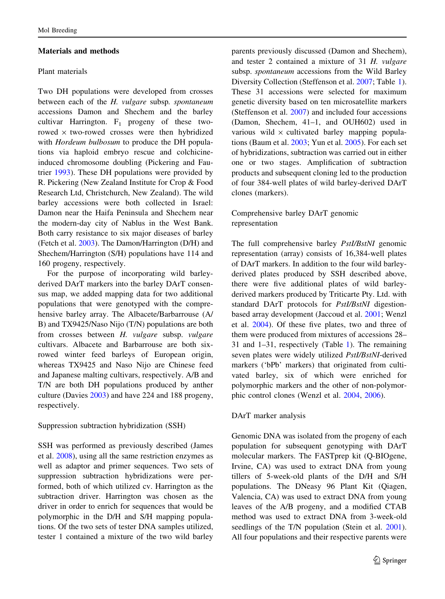# Materials and methods

#### Plant materials

Two DH populations were developed from crosses between each of the H. vulgare subsp. spontaneum accessions Damon and Shechem and the barley cultivar Harrington.  $F_1$  progeny of these tworowed  $\times$  two-rowed crosses were then hybridized with Hordeum bulbosum to produce the DH populations via haploid embryo rescue and colchicineinduced chromosome doubling (Pickering and Fautrier [1993\)](#page-15-0). These DH populations were provided by R. Pickering (New Zealand Institute for Crop & Food Research Ltd, Christchurch, New Zealand). The wild barley accessions were both collected in Israel: Damon near the Haifa Peninsula and Shechem near the modern-day city of Nablus in the West Bank. Both carry resistance to six major diseases of barley (Fetch et al. [2003\)](#page-14-0). The Damon/Harrington (D/H) and Shechem/Harrington (S/H) populations have 114 and 160 progeny, respectively.

For the purpose of incorporating wild barleyderived DArT markers into the barley DArT consensus map, we added mapping data for two additional populations that were genotyped with the comprehensive barley array. The Albacete/Barbarrouse (A/ B) and TX9425/Naso Nijo (T/N) populations are both from crosses between H. vulgare subsp. vulgare cultivars. Albacete and Barbarrouse are both sixrowed winter feed barleys of European origin, whereas TX9425 and Naso Nijo are Chinese feed and Japanese malting cultivars, respectively. A/B and T/N are both DH populations produced by anther culture (Davies [2003\)](#page-14-0) and have 224 and 188 progeny, respectively.

# Suppression subtraction hybridization (SSH)

SSH was performed as previously described (James et al. [2008](#page-14-0)), using all the same restriction enzymes as well as adaptor and primer sequences. Two sets of suppression subtraction hybridizations were performed, both of which utilized cv. Harrington as the subtraction driver. Harrington was chosen as the driver in order to enrich for sequences that would be polymorphic in the D/H and S/H mapping populations. Of the two sets of tester DNA samples utilized, tester 1 contained a mixture of the two wild barley

parents previously discussed (Damon and Shechem), and tester 2 contained a mixture of 31 H. vulgare subsp. spontaneum accessions from the Wild Barley Diversity Collection (Steffenson et al. [2007](#page-15-0); Table [1](#page-3-0)). These 31 accessions were selected for maximum genetic diversity based on ten microsatellite markers (Steffenson et al. [2007](#page-15-0)) and included four accessions (Damon, Shechem, 41–1, and OUH602) used in various wild  $\times$  cultivated barley mapping populations (Baum et al. [2003;](#page-14-0) Yun et al. [2005](#page-15-0)). For each set of hybridizations, subtraction was carried out in either one or two stages. Amplification of subtraction products and subsequent cloning led to the production of four 384-well plates of wild barley-derived DArT clones (markers).

# Comprehensive barley DArT genomic representation

The full comprehensive barley PstI/BstNI genomic representation (array) consists of 16,384-well plates of DArT markers. In addition to the four wild barleyderived plates produced by SSH described above, there were five additional plates of wild barleyderived markers produced by Triticarte Pty. Ltd. with standard DArT protocols for PstI/BstNI digestionbased array development (Jaccoud et al. [2001;](#page-14-0) Wenzl et al. [2004](#page-15-0)). Of these five plates, two and three of them were produced from mixtures of accessions 28– 31 and 1–31, respectively (Table [1](#page-3-0)). The remaining seven plates were widely utilized PstI/BstNI-derived markers ('bPb' markers) that originated from cultivated barley, six of which were enriched for polymorphic markers and the other of non-polymorphic control clones (Wenzl et al. [2004,](#page-15-0) [2006](#page-15-0)).

# DArT marker analysis

Genomic DNA was isolated from the progeny of each population for subsequent genotyping with DArT molecular markers. The FASTprep kit (Q-BIOgene, Irvine, CA) was used to extract DNA from young tillers of 5-week-old plants of the D/H and S/H populations. The DNeasy 96 Plant Kit (Qiagen, Valencia, CA) was used to extract DNA from young leaves of the A/B progeny, and a modified CTAB method was used to extract DNA from 3-week-old seedlings of the T/N population (Stein et al. [2001](#page-15-0)). All four populations and their respective parents were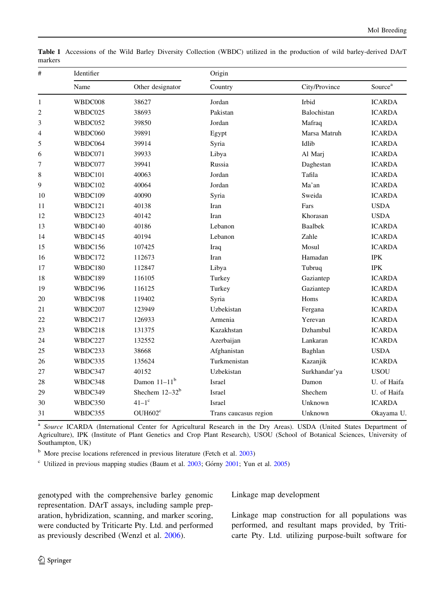| #              | Identifier |                     | Origin                |                |                     |  |
|----------------|------------|---------------------|-----------------------|----------------|---------------------|--|
|                | Name       | Other designator    | Country               | City/Province  | Source <sup>a</sup> |  |
| $\mathbf{1}$   | WBDC008    | 38627               | Jordan                | <b>Irbid</b>   | <b>ICARDA</b>       |  |
| $\overline{c}$ | WBDC025    | 38693               | Pakistan              | Balochistan    | <b>ICARDA</b>       |  |
| 3              | WBDC052    | 39850               | Jordan                | Mafraq         | <b>ICARDA</b>       |  |
| 4              | WBDC060    | 39891               | Egypt                 | Marsa Matruh   | <b>ICARDA</b>       |  |
| 5              | WBDC064    | 39914               | Syria                 | Idlib          | <b>ICARDA</b>       |  |
| 6              | WBDC071    | 39933               | Libya                 | Al Marj        | <b>ICARDA</b>       |  |
| 7              | WBDC077    | 39941               | Russia                | Daghestan      | <b>ICARDA</b>       |  |
| 8              | WBDC101    | 40063               | Jordan                | Tafila         | <b>ICARDA</b>       |  |
| 9              | WBDC102    | 40064               | Jordan                | Ma'an          | <b>ICARDA</b>       |  |
| 10             | WBDC109    | 40090               | Syria                 | Sweida         | <b>ICARDA</b>       |  |
| 11             | WBDC121    | 40138               | Iran                  | Fars           | <b>USDA</b>         |  |
| 12             | WBDC123    | 40142               | Iran                  | Khorasan       | <b>USDA</b>         |  |
| 13             | WBDC140    | 40186               | Lebanon               | <b>Baalbek</b> | <b>ICARDA</b>       |  |
| 14             | WBDC145    | 40194               | Lebanon               | Zahle          | <b>ICARDA</b>       |  |
| 15             | WBDC156    | 107425              | Iraq                  | Mosul          | <b>ICARDA</b>       |  |
| 16             | WBDC172    | 112673              | Iran                  | Hamadan        | IPK                 |  |
| 17             | WBDC180    | 112847              | Libya                 | Tubruq         | <b>IPK</b>          |  |
| 18             | WBDC189    | 116105              | Turkey                | Gaziantep      | <b>ICARDA</b>       |  |
| 19             | WBDC196    | 116125              | Turkey                | Gaziantep      | <b>ICARDA</b>       |  |
| 20             | WBDC198    | 119402              | Syria                 | Homs           | <b>ICARDA</b>       |  |
| 21             | WBDC207    | 123949              | Uzbekistan            | Fergana        | <b>ICARDA</b>       |  |
| 22             | WBDC217    | 126933              | Armenia               | Yerevan        | <b>ICARDA</b>       |  |
| 23             | WBDC218    | 131375              | Kazakhstan            | Dzhambul       | <b>ICARDA</b>       |  |
| 24             | WBDC227    | 132552              | Azerbaijan            | Lankaran       | <b>ICARDA</b>       |  |
| 25             | WBDC233    | 38668               | Afghanistan           | Baghlan        | <b>USDA</b>         |  |
| 26             | WBDC335    | 135624              | Turkmenistan          | Kazanjik       | <b>ICARDA</b>       |  |
| 27             | WBDC347    | 40152               | Uzbekistan            | Surkhandar'ya  | <b>USOU</b>         |  |
| 28             | WBDC348    | Damon $11-11b$      | <b>Israel</b>         | Damon          | U. of Haifa         |  |
| 29             | WBDC349    | Shechem $12-32b$    | Israel                | Shechem        | U. of Haifa         |  |
| 30             | WBDC350    | $41 - 1$ $^{\rm c}$ | Israel                | Unknown        | <b>ICARDA</b>       |  |
| 31             | WBDC355    | OUH602 <sup>c</sup> | Trans caucasus region | Unknown        | Okayama U.          |  |

<span id="page-3-0"></span>Table 1 Accessions of the Wild Barley Diversity Collection (WBDC) utilized in the production of wild barley-derived DArT markers

<sup>a</sup> Source ICARDA (International Center for Agricultural Research in the Dry Areas). USDA (United States Department of Agriculture), IPK (Institute of Plant Genetics and Crop Plant Research), USOU (School of Botanical Sciences, University of Southampton, UK)

 $<sup>b</sup>$  More precise locations referenced in previous literature (Fetch et al. [2003](#page-14-0))</sup>

 $\degree$  Utilized in previous mapping studies (Baum et al. [2003;](#page-14-0) Górny [2001](#page-14-0); Yun et al. [2005\)](#page-15-0)

genotyped with the comprehensive barley genomic representation. DArT assays, including sample preparation, hybridization, scanning, and marker scoring, were conducted by Triticarte Pty. Ltd. and performed as previously described (Wenzl et al. [2006](#page-15-0)).

# Linkage map development

Linkage map construction for all populations was performed, and resultant maps provided, by Triticarte Pty. Ltd. utilizing purpose-built software for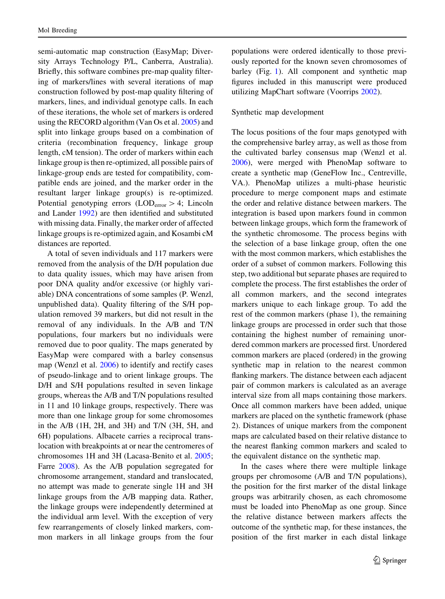semi-automatic map construction (EasyMap; Diversity Arrays Technology P/L, Canberra, Australia). Briefly, this software combines pre-map quality filtering of markers/lines with several iterations of map construction followed by post-map quality filtering of markers, lines, and individual genotype calls. In each of these iterations, the whole set of markers is ordered using the RECORD algorithm (Van Os et al. [2005\)](#page-15-0) and split into linkage groups based on a combination of criteria (recombination frequency, linkage group length, cM tension). The order of markers within each linkage group is then re-optimized, all possible pairs of linkage-group ends are tested for compatibility, compatible ends are joined, and the marker order in the resultant larger linkage group(s) is re-optimized. Potential genotyping errors (LOD<sub>error</sub> > 4; Lincoln and Lander [1992](#page-15-0)) are then identified and substituted with missing data. Finally, the marker order of affected linkage groups is re-optimized again, and Kosambi cM distances are reported.

A total of seven individuals and 117 markers were removed from the analysis of the D/H population due to data quality issues, which may have arisen from poor DNA quality and/or excessive (or highly variable) DNA concentrations of some samples (P. Wenzl, unpublished data). Quality filtering of the S/H population removed 39 markers, but did not result in the removal of any individuals. In the A/B and T/N populations, four markers but no individuals were removed due to poor quality. The maps generated by EasyMap were compared with a barley consensus map (Wenzl et al. [2006\)](#page-15-0) to identify and rectify cases of pseudo-linkage and to orient linkage groups. The D/H and S/H populations resulted in seven linkage groups, whereas the A/B and T/N populations resulted in 11 and 10 linkage groups, respectively. There was more than one linkage group for some chromosomes in the A/B (1H, 2H, and 3H) and T/N (3H, 5H, and 6H) populations. Albacete carries a reciprocal translocation with breakpoints at or near the centromeres of chromosomes 1H and 3H (Lacasa-Benito et al. [2005](#page-14-0); Farre [2008](#page-14-0)). As the A/B population segregated for chromosome arrangement, standard and translocated, no attempt was made to generate single 1H and 3H linkage groups from the A/B mapping data. Rather, the linkage groups were independently determined at the individual arm level. With the exception of very few rearrangements of closely linked markers, common markers in all linkage groups from the four

populations were ordered identically to those previously reported for the known seven chromosomes of barley (Fig. [1\)](#page-5-0). All component and synthetic map figures included in this manuscript were produced utilizing MapChart software (Voorrips [2002](#page-15-0)).

# Synthetic map development

The locus positions of the four maps genotyped with the comprehensive barley array, as well as those from the cultivated barley consensus map (Wenzl et al. [2006\)](#page-15-0), were merged with PhenoMap software to create a synthetic map (GeneFlow Inc., Centreville, VA.). PhenoMap utilizes a multi-phase heuristic procedure to merge component maps and estimate the order and relative distance between markers. The integration is based upon markers found in common between linkage groups, which form the framework of the synthetic chromosome. The process begins with the selection of a base linkage group, often the one with the most common markers, which establishes the order of a subset of common markers. Following this step, two additional but separate phases are required to complete the process. The first establishes the order of all common markers, and the second integrates markers unique to each linkage group. To add the rest of the common markers (phase 1), the remaining linkage groups are processed in order such that those containing the highest number of remaining unordered common markers are processed first. Unordered common markers are placed (ordered) in the growing synthetic map in relation to the nearest common flanking markers. The distance between each adjacent pair of common markers is calculated as an average interval size from all maps containing those markers. Once all common markers have been added, unique markers are placed on the synthetic framework (phase 2). Distances of unique markers from the component maps are calculated based on their relative distance to the nearest flanking common markers and scaled to the equivalent distance on the synthetic map.

In the cases where there were multiple linkage groups per chromosome (A/B and T/N populations), the position for the first marker of the distal linkage groups was arbitrarily chosen, as each chromosome must be loaded into PhenoMap as one group. Since the relative distance between markers affects the outcome of the synthetic map, for these instances, the position of the first marker in each distal linkage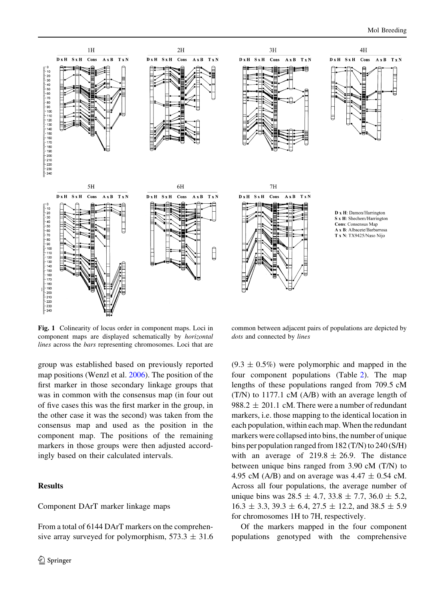<span id="page-5-0"></span>

Fig. 1 Colinearity of locus order in component maps. Loci in component maps are displayed schematically by horizontal lines across the *bars* representing chromosomes. Loci that are

group was established based on previously reported map positions (Wenzl et al. [2006](#page-15-0)). The position of the first marker in those secondary linkage groups that was in common with the consensus map (in four out of five cases this was the first marker in the group, in the other case it was the second) was taken from the consensus map and used as the position in the component map. The positions of the remaining markers in those groups were then adjusted accordingly based on their calculated intervals.

# Results

#### Component DArT marker linkage maps

From a total of 6144 DArT markers on the comprehensive array surveyed for polymorphism,  $573.3 \pm 31.6$ 

common between adjacent pairs of populations are depicted by dots and connected by lines

 $(9.3 \pm 0.5\%)$  were polymorphic and mapped in the four component populations (Table [2\)](#page-6-0). The map lengths of these populations ranged from 709.5 cM (T/N) to 1177.1 cM (A/B) with an average length of 988.2  $\pm$  201.1 cM. There were a number of redundant markers, i.e. those mapping to the identical location in each population, within each map. When the redundant markers were collapsed into bins, the number of unique bins per population ranged from 182 (T/N) to 240 (S/H) with an average of  $219.8 \pm 26.9$ . The distance between unique bins ranged from 3.90 cM (T/N) to 4.95 cM (A/B) and on average was  $4.47 \pm 0.54$  cM. Across all four populations, the average number of unique bins was  $28.5 \pm 4.7$ ,  $33.8 \pm 7.7$ ,  $36.0 \pm 5.2$ ,  $16.3 \pm 3.3$ ,  $39.3 \pm 6.4$ ,  $27.5 \pm 12.2$ , and  $38.5 \pm 5.9$ for chromosomes 1H to 7H, respectively.

Of the markers mapped in the four component populations genotyped with the comprehensive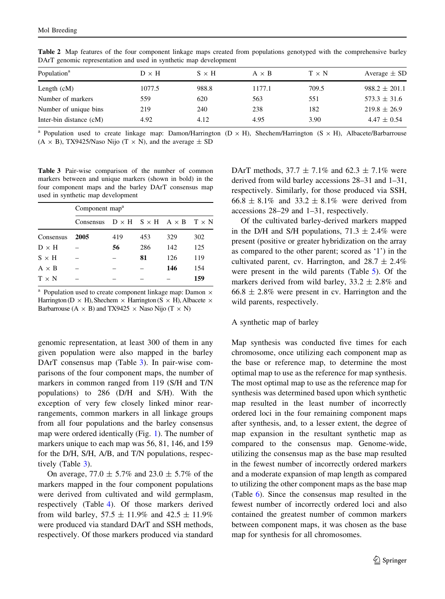| Population <sup>a</sup><br>$S \times H$<br>$T \times N$<br>$A \times B$<br>$D \times H$ | Average $\pm$ SD  |
|-----------------------------------------------------------------------------------------|-------------------|
| 709.5<br>1077.5<br>988.8<br>Length $(cM)$<br>1177.1                                     | $988.2 \pm 201.1$ |
| Number of markers<br>620<br>559<br>563<br>551                                           | $573.3 \pm 31.6$  |
| Number of unique bins<br>240<br>238<br>182<br>219                                       | $219.8 \pm 26.9$  |
| 4.92<br>Inter-bin distance (cM)<br>4.12<br>3.90<br>4.95                                 | $4.47 \pm 0.54$   |

<span id="page-6-0"></span>Table 2 Map features of the four component linkage maps created from populations genotyped with the comprehensive barley DArT genomic representation and used in synthetic map development

<sup>a</sup> Population used to create linkage map: Damon/Harrington ( $D \times H$ ), Shechem/Harrington ( $S \times H$ ), Albacete/Barbarrouse  $(A \times B)$ , TX9425/Naso Nijo (T  $\times$  N), and the average  $\pm$  SD

Table 3 Pair-wise comparison of the number of common markers between and unique markers (shown in bold) in the four component maps and the barley DArT consensus map used in synthetic map development

|              | Component map <sup>a</sup>                                    |     |     |     |     |  |  |
|--------------|---------------------------------------------------------------|-----|-----|-----|-----|--|--|
|              | Consensus $D \times H$ $S \times H$ $A \times B$ $T \times N$ |     |     |     |     |  |  |
| Consensus    | 2005                                                          | 419 | 453 | 329 | 302 |  |  |
| $D \times H$ |                                                               | 56  | 286 | 142 | 125 |  |  |
| $S \times H$ |                                                               |     | 81  | 126 | 119 |  |  |
| $A \times B$ |                                                               |     |     | 146 | 154 |  |  |
| $T \times N$ |                                                               |     |     |     | 159 |  |  |

Population used to create component linkage map: Damon  $\times$ Harrington (D  $\times$  H), Shechem  $\times$  Harrington (S  $\times$  H), Albacete  $\times$ Barbarrouse (A  $\times$  B) and TX9425  $\times$  Naso Nijo (T  $\times$  N)

genomic representation, at least 300 of them in any given population were also mapped in the barley DArT consensus map (Table 3). In pair-wise comparisons of the four component maps, the number of markers in common ranged from 119 (S/H and T/N populations) to 286 (D/H and S/H). With the exception of very few closely linked minor rearrangements, common markers in all linkage groups from all four populations and the barley consensus map were ordered identically (Fig. [1](#page-5-0)). The number of markers unique to each map was 56, 81, 146, and 159 for the D/H, S/H, A/B, and T/N populations, respectively (Table 3).

On average,  $77.0 \pm 5.7\%$  and  $23.0 \pm 5.7\%$  of the markers mapped in the four component populations were derived from cultivated and wild germplasm, respectively (Table [4](#page-7-0)). Of those markers derived from wild barley,  $57.5 \pm 11.9\%$  and  $42.5 \pm 11.9\%$ were produced via standard DArT and SSH methods, respectively. Of those markers produced via standard DArT methods,  $37.7 \pm 7.1\%$  and  $62.3 \pm 7.1\%$  were derived from wild barley accessions 28–31 and 1–31, respectively. Similarly, for those produced via SSH,  $66.8 \pm 8.1\%$  and  $33.2 \pm 8.1\%$  were derived from accessions 28–29 and 1–31, respectively.

Of the cultivated barley-derived markers mapped in the D/H and S/H populations,  $71.3 \pm 2.4\%$  were present (positive or greater hybridization on the array as compared to the other parent; scored as '1') in the cultivated parent, cv. Harrington, and  $28.7 \pm 2.4\%$ were present in the wild parents (Table [5](#page-7-0)). Of the markers derived from wild barley,  $33.2 \pm 2.8\%$  and  $66.8 \pm 2.8\%$  were present in cv. Harrington and the wild parents, respectively.

#### A synthetic map of barley

Map synthesis was conducted five times for each chromosome, once utilizing each component map as the base or reference map, to determine the most optimal map to use as the reference for map synthesis. The most optimal map to use as the reference map for synthesis was determined based upon which synthetic map resulted in the least number of incorrectly ordered loci in the four remaining component maps after synthesis, and, to a lesser extent, the degree of map expansion in the resultant synthetic map as compared to the consensus map. Genome-wide, utilizing the consensus map as the base map resulted in the fewest number of incorrectly ordered markers and a moderate expansion of map length as compared to utilizing the other component maps as the base map (Table [6](#page-7-0)). Since the consensus map resulted in the fewest number of incorrectly ordered loci and also contained the greatest number of common markers between component maps, it was chosen as the base map for synthesis for all chromosomes.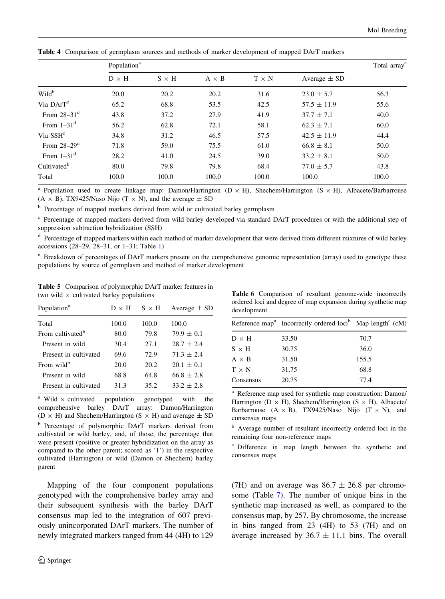|                           | Population <sup>a</sup> |              |              |              |                  | Total array <sup>e</sup> |
|---------------------------|-------------------------|--------------|--------------|--------------|------------------|--------------------------|
|                           | $D \times H$            | $S \times H$ | $A \times B$ | $T \times N$ | Average $\pm$ SD |                          |
| Wild <sup>b</sup>         | 20.0                    | 20.2         | 20.2         | 31.6         | $23.0 \pm 5.7$   | 56.3                     |
| Via DArT <sup>c</sup>     | 65.2                    | 68.8         | 53.5         | 42.5         | $57.5 \pm 11.9$  | 55.6                     |
| From $28-31$ <sup>d</sup> | 43.8                    | 37.2         | 27.9         | 41.9         | $37.7 \pm 7.1$   | 40.0                     |
| From $1-31$ <sup>d</sup>  | 56.2                    | 62.8         | 72.1         | 58.1         | $62.3 \pm 7.1$   | 60.0                     |
| Via SSH <sup>c</sup>      | 34.8                    | 31.2         | 46.5         | 57.5         | $42.5 \pm 11.9$  | 44.4                     |
| From $28-29$ <sup>d</sup> | 71.8                    | 59.0         | 75.5         | 61.0         | $66.8 \pm 8.1$   | 50.0                     |
| From $1-31$ <sup>d</sup>  | 28.2                    | 41.0         | 24.5         | 39.0         | $33.2 \pm 8.1$   | 50.0                     |
| Cultivated <sup>b</sup>   | 80.0                    | 79.8         | 79.8         | 68.4         | $77.0 \pm 5.7$   | 43.8                     |
| Total                     | 100.0                   | 100.0        | 100.0        | 100.0        | 100.0            | 100.0                    |

<span id="page-7-0"></span>Table 4 Comparison of germplasm sources and methods of marker development of mapped DArT markers

<sup>a</sup> Population used to create linkage map: Damon/Harrington ( $D \times H$ ), Shechem/Harrington ( $S \times H$ ), Albacete/Barbarrouse  $(A \times B)$ , TX9425/Naso Nijo (T  $\times$  N), and the average  $\pm$  SD

<sup>b</sup> Percentage of mapped markers derived from wild or cultivated barley germplasm

<sup>c</sup> Percentage of mapped markers derived from wild barley developed via standard DArT procedures or with the additional step of suppression subtraction hybridization (SSH)

<sup>d</sup> Percentage of mapped markers within each method of marker development that were derived from different mixtures of wild barley accessions (28–29, 28–31, or 1–31; Table [1\)](#page-3-0)

<sup>e</sup> Breakdown of percentages of DArT markers present on the comprehensive genomic representation (array) used to genotype these populations by source of germplasm and method of marker development

Table 5 Comparison of polymorphic DArT marker features in two wild  $\times$  cultivated barley populations

| Population <sup>a</sup>      | $D \times H$ | $S \times H$ | Average $\pm$ SD |
|------------------------------|--------------|--------------|------------------|
| Total                        | 100.0        | 100.0        | 100.0            |
| From cultivated <sup>b</sup> | 80.0         | 79.8         | $79.9 \pm 0.1$   |
| Present in wild              | 30.4         | 27.1         | $28.7 + 2.4$     |
| Present in cultivated        | 69.6         | 72.9         | $71.3 + 2.4$     |
| From wild <sup>b</sup>       | 20.0         | 20.2         | $20.1 + 0.1$     |
| Present in wild              | 68.8         | 64.8         | $66.8 \pm 2.8$   |
| Present in cultivated        | 31.3         | 35.2         | $33.2 \pm 2.8$   |

<sup>a</sup> Wild  $\times$  cultivated population genotyped with the comprehensive barley DArT array: Damon/Harrington (D  $\times$  H) and Shechem/Harrington (S  $\times$  H) and average  $\pm$  SD <sup>b</sup> Percentage of polymorphic DArT markers derived from cultivated or wild barley, and, of those, the percentage that were present (positive or greater hybridization on the array as compared to the other parent; scored as '1') in the respective cultivated (Harrington) or wild (Damon or Shechem) barley parent

Mapping of the four component populations genotyped with the comprehensive barley array and their subsequent synthesis with the barley DArT consensus map led to the integration of 607 previously unincorporated DArT markers. The number of newly integrated markers ranged from 44 (4H) to 129

Table 6 Comparison of resultant genome-wide incorrectly ordered loci and degree of map expansion during synthetic map development

|              | Reference map <sup>a</sup> Incorrectly ordered loci <sup>b</sup> Map length <sup>c</sup> (cM) |       |  |  |
|--------------|-----------------------------------------------------------------------------------------------|-------|--|--|
| $D \times H$ | 33.50                                                                                         | 70.7  |  |  |
| $S \times H$ | 30.75                                                                                         | 36.0  |  |  |
| $A \times B$ | 31.50                                                                                         | 155.5 |  |  |
| $T \times N$ | 31.75                                                                                         | 68.8  |  |  |
| Consensus    | 20.75                                                                                         | 77.4  |  |  |

<sup>a</sup> Reference map used for synthetic map construction: Damon/ Harrington (D  $\times$  H), Shechem/Harrington (S  $\times$  H), Albacete/ Barbarrouse  $(A \times B)$ , TX9425/Naso Nijo  $(T \times N)$ , and consensus maps

<sup>b</sup> Average number of resultant incorrectly ordered loci in the remaining four non-reference maps

<sup>c</sup> Difference in map length between the synthetic and consensus maps

(7H) and on average was  $86.7 \pm 26.8$  per chromosome (Table [7\)](#page-8-0). The number of unique bins in the synthetic map increased as well, as compared to the consensus map, by 257. By chromosome, the increase in bins ranged from 23 (4H) to 53 (7H) and on average increased by  $36.7 \pm 11.1$  bins. The overall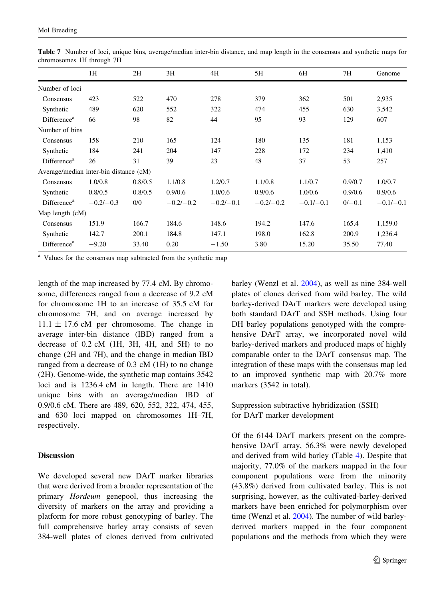|                                        | 1H          | 2H      | 3H          | 4H          | 5H          | 6H          | 7H       | Genome      |
|----------------------------------------|-------------|---------|-------------|-------------|-------------|-------------|----------|-------------|
| Number of loci                         |             |         |             |             |             |             |          |             |
| Consensus                              | 423         | 522     | 470         | 278         | 379         | 362         | 501      | 2,935       |
| Synthetic                              | 489         | 620     | 552         | 322         | 474         | 455         | 630      | 3,542       |
| Difference <sup>a</sup>                | 66          | 98      | 82          | 44          | 95          | 93          | 129      | 607         |
| Number of bins                         |             |         |             |             |             |             |          |             |
| Consensus                              | 158         | 210     | 165         | 124         | 180         | 135         | 181      | 1,153       |
| Synthetic                              | 184         | 241     | 204         | 147         | 228         | 172         | 234      | 1,410       |
| Difference <sup>a</sup>                | 26          | 31      | 39          | 23          | 48          | 37          | 53       | 257         |
| Average/median inter-bin distance (cM) |             |         |             |             |             |             |          |             |
| Consensus                              | 1.0/0.8     | 0.8/0.5 | 1.1/0.8     | 1.2/0.7     | 1.1/0.8     | 1.1/0.7     | 0.9/0.7  | 1.0/0.7     |
| Synthetic                              | 0.8/0.5     | 0.8/0.5 | 0.9/0.6     | 1.0/0.6     | 0.9/0.6     | 1.0/0.6     | 0.9/0.6  | 0.9/0.6     |
| Difference <sup>a</sup>                | $-0.2/-0.3$ | 0/0     | $-0.2/-0.2$ | $-0.2/-0.1$ | $-0.2/-0.2$ | $-0.1/-0.1$ | $0/-0.1$ | $-0.1/-0.1$ |
| Map length (cM)                        |             |         |             |             |             |             |          |             |
| Consensus                              | 151.9       | 166.7   | 184.6       | 148.6       | 194.2       | 147.6       | 165.4    | 1,159.0     |
| Synthetic                              | 142.7       | 200.1   | 184.8       | 147.1       | 198.0       | 162.8       | 200.9    | 1,236.4     |
| Difference <sup>a</sup>                | $-9.20$     | 33.40   | 0.20        | $-1.50$     | 3.80        | 15.20       | 35.50    | 77.40       |

<span id="page-8-0"></span>Table 7 Number of loci, unique bins, average/median inter-bin distance, and map length in the consensus and synthetic maps for chromosomes 1H through 7H

Values for the consensus map subtracted from the synthetic map

length of the map increased by 77.4 cM. By chromosome, differences ranged from a decrease of 9.2 cM for chromosome 1H to an increase of 35.5 cM for chromosome 7H, and on average increased by  $11.1 \pm 17.6$  cM per chromosome. The change in average inter-bin distance (IBD) ranged from a decrease of 0.2 cM (1H, 3H, 4H, and 5H) to no change (2H and 7H), and the change in median IBD ranged from a decrease of 0.3 cM (1H) to no change (2H). Genome-wide, the synthetic map contains 3542 loci and is 1236.4 cM in length. There are 1410 unique bins with an average/median IBD of 0.9/0.6 cM. There are 489, 620, 552, 322, 474, 455, and 630 loci mapped on chromosomes 1H–7H, respectively.

#### **Discussion**

We developed several new DArT marker libraries that were derived from a broader representation of the primary Hordeum genepool, thus increasing the diversity of markers on the array and providing a platform for more robust genotyping of barley. The full comprehensive barley array consists of seven 384-well plates of clones derived from cultivated barley (Wenzl et al. [2004](#page-15-0)), as well as nine 384-well plates of clones derived from wild barley. The wild barley-derived DArT markers were developed using both standard DArT and SSH methods. Using four DH barley populations genotyped with the comprehensive DArT array, we incorporated novel wild barley-derived markers and produced maps of highly comparable order to the DArT consensus map. The integration of these maps with the consensus map led to an improved synthetic map with 20.7% more markers (3542 in total).

Suppression subtractive hybridization (SSH) for DArT marker development

Of the 6144 DArT markers present on the comprehensive DArT array, 56.3% were newly developed and derived from wild barley (Table [4](#page-7-0)). Despite that majority, 77.0% of the markers mapped in the four component populations were from the minority (43.8%) derived from cultivated barley. This is not surprising, however, as the cultivated-barley-derived markers have been enriched for polymorphism over time (Wenzl et al. [2004](#page-15-0)). The number of wild barleyderived markers mapped in the four component populations and the methods from which they were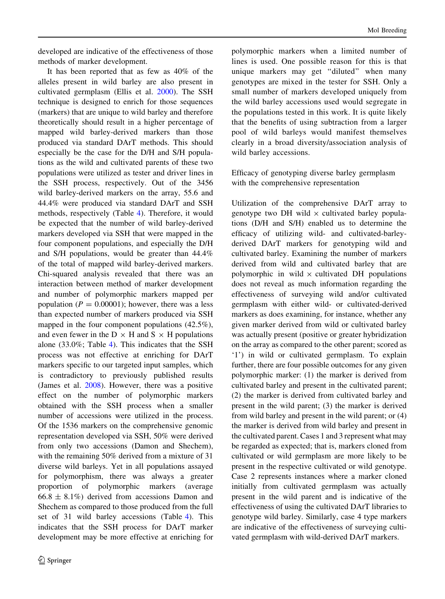developed are indicative of the effectiveness of those methods of marker development.

It has been reported that as few as 40% of the alleles present in wild barley are also present in cultivated germplasm (Ellis et al. [2000](#page-14-0)). The SSH technique is designed to enrich for those sequences (markers) that are unique to wild barley and therefore theoretically should result in a higher percentage of mapped wild barley-derived markers than those produced via standard DArT methods. This should especially be the case for the D/H and S/H populations as the wild and cultivated parents of these two populations were utilized as tester and driver lines in the SSH process, respectively. Out of the 3456 wild barley-derived markers on the array, 55.6 and 44.4% were produced via standard DArT and SSH methods, respectively (Table [4](#page-7-0)). Therefore, it would be expected that the number of wild barley-derived markers developed via SSH that were mapped in the four component populations, and especially the D/H and S/H populations, would be greater than 44.4% of the total of mapped wild barley-derived markers. Chi-squared analysis revealed that there was an interaction between method of marker development and number of polymorphic markers mapped per population ( $P = 0.00001$ ); however, there was a less than expected number of markers produced via SSH mapped in the four component populations (42.5%), and even fewer in the  $D \times H$  and  $S \times H$  populations alone (33.0%; Table [4\)](#page-7-0). This indicates that the SSH process was not effective at enriching for DArT markers specific to our targeted input samples, which is contradictory to previously published results (James et al. [2008](#page-14-0)). However, there was a positive effect on the number of polymorphic markers obtained with the SSH process when a smaller number of accessions were utilized in the process. Of the 1536 markers on the comprehensive genomic representation developed via SSH, 50% were derived from only two accessions (Damon and Shechem), with the remaining 50% derived from a mixture of 31 diverse wild barleys. Yet in all populations assayed for polymorphism, there was always a greater proportion of polymorphic markers (average  $66.8 + 8.1\%$  derived from accessions Damon and Shechem as compared to those produced from the full set of 31 wild barley accessions (Table [4](#page-7-0)). This indicates that the SSH process for DArT marker development may be more effective at enriching for polymorphic markers when a limited number of lines is used. One possible reason for this is that unique markers may get ''diluted'' when many genotypes are mixed in the tester for SSH. Only a small number of markers developed uniquely from the wild barley accessions used would segregate in the populations tested in this work. It is quite likely that the benefits of using subtraction from a larger pool of wild barleys would manifest themselves clearly in a broad diversity/association analysis of wild barley accessions.

Efficacy of genotyping diverse barley germplasm with the comprehensive representation

Utilization of the comprehensive DArT array to genotype two DH wild  $\times$  cultivated barley populations (D/H and S/H) enabled us to determine the efficacy of utilizing wild- and cultivated-barleyderived DArT markers for genotyping wild and cultivated barley. Examining the number of markers derived from wild and cultivated barley that are polymorphic in wild  $\times$  cultivated DH populations does not reveal as much information regarding the effectiveness of surveying wild and/or cultivated germplasm with either wild- or cultivated-derived markers as does examining, for instance, whether any given marker derived from wild or cultivated barley was actually present (positive or greater hybridization on the array as compared to the other parent; scored as '1') in wild or cultivated germplasm. To explain further, there are four possible outcomes for any given polymorphic marker: (1) the marker is derived from cultivated barley and present in the cultivated parent; (2) the marker is derived from cultivated barley and present in the wild parent; (3) the marker is derived from wild barley and present in the wild parent; or (4) the marker is derived from wild barley and present in the cultivated parent. Cases 1 and 3 represent what may be regarded as expected; that is, markers cloned from cultivated or wild germplasm are more likely to be present in the respective cultivated or wild genotype. Case 2 represents instances where a marker cloned initially from cultivated germplasm was actually present in the wild parent and is indicative of the effectiveness of using the cultivated DArT libraries to genotype wild barley. Similarly, case 4 type markers are indicative of the effectiveness of surveying cultivated germplasm with wild-derived DArT markers.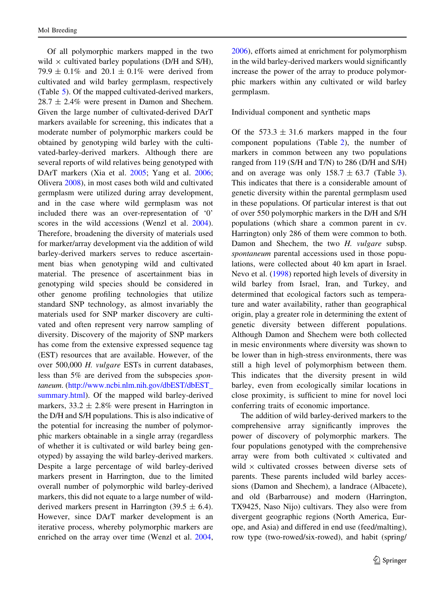Of all polymorphic markers mapped in the two wild  $\times$  cultivated barley populations (D/H and S/H), 79.9  $\pm$  0.1% and 20.1  $\pm$  0.1% were derived from cultivated and wild barley germplasm, respectively (Table [5](#page-7-0)). Of the mapped cultivated-derived markers,  $28.7 \pm 2.4\%$  were present in Damon and Shechem. Given the large number of cultivated-derived DArT markers available for screening, this indicates that a moderate number of polymorphic markers could be obtained by genotyping wild barley with the cultivated-barley-derived markers. Although there are several reports of wild relatives being genotyped with DArT markers (Xia et al. [2005;](#page-15-0) Yang et al. [2006](#page-15-0); Olivera [2008](#page-15-0)), in most cases both wild and cultivated germplasm were utilized during array development, and in the case where wild germplasm was not included there was an over-representation of '0' scores in the wild accessions (Wenzl et al. [2004](#page-15-0)). Therefore, broadening the diversity of materials used for marker/array development via the addition of wild barley-derived markers serves to reduce ascertainment bias when genotyping wild and cultivated material. The presence of ascertainment bias in genotyping wild species should be considered in other genome profiling technologies that utilize standard SNP technology, as almost invariably the materials used for SNP marker discovery are cultivated and often represent very narrow sampling of diversity. Discovery of the majority of SNP markers has come from the extensive expressed sequence tag (EST) resources that are available. However, of the over 500,000 H. vulgare ESTs in current databases, less than 5% are derived from the subspecies spontaneum. ([http://www.ncbi.nlm.nih.gov/dbEST/dbEST\\_](http://www.ncbi.nlm.nih.gov/dbEST/dbEST_summary.html) [summary.html\)](http://www.ncbi.nlm.nih.gov/dbEST/dbEST_summary.html). Of the mapped wild barley-derived markers,  $33.2 \pm 2.8\%$  were present in Harrington in the D/H and S/H populations. This is also indicative of the potential for increasing the number of polymorphic markers obtainable in a single array (regardless of whether it is cultivated or wild barley being genotyped) by assaying the wild barley-derived markers. Despite a large percentage of wild barley-derived markers present in Harrington, due to the limited overall number of polymorphic wild barley-derived markers, this did not equate to a large number of wildderived markers present in Harrington (39.5  $\pm$  6.4). However, since DArT marker development is an iterative process, whereby polymorphic markers are enriched on the array over time (Wenzl et al. [2004,](#page-15-0)

[2006\)](#page-15-0), efforts aimed at enrichment for polymorphism in the wild barley-derived markers would significantly increase the power of the array to produce polymorphic markers within any cultivated or wild barley germplasm.

Individual component and synthetic maps

Of the  $573.3 \pm 31.6$  markers mapped in the four component populations (Table [2\)](#page-6-0), the number of markers in common between any two populations ranged from 119 (S/H and T/N) to 286 (D/H and S/H) and on average was only  $158.7 \pm 63.7$  $158.7 \pm 63.7$  $158.7 \pm 63.7$  (Table 3). This indicates that there is a considerable amount of genetic diversity within the parental germplasm used in these populations. Of particular interest is that out of over 550 polymorphic markers in the D/H and S/H populations (which share a common parent in cv. Harrington) only 286 of them were common to both. Damon and Shechem, the two H. vulgare subsp. spontaneum parental accessions used in those populations, were collected about 40 km apart in Israel. Nevo et al. [\(1998](#page-15-0)) reported high levels of diversity in wild barley from Israel, Iran, and Turkey, and determined that ecological factors such as temperature and water availability, rather than geographical origin, play a greater role in determining the extent of genetic diversity between different populations. Although Damon and Shechem were both collected in mesic environments where diversity was shown to be lower than in high-stress environments, there was still a high level of polymorphism between them. This indicates that the diversity present in wild barley, even from ecologically similar locations in close proximity, is sufficient to mine for novel loci conferring traits of economic importance.

The addition of wild barley-derived markers to the comprehensive array significantly improves the power of discovery of polymorphic markers. The four populations genotyped with the comprehensive array were from both cultivated  $\times$  cultivated and wild  $\times$  cultivated crosses between diverse sets of parents. These parents included wild barley accessions (Damon and Shechem), a landrace (Albacete), and old (Barbarrouse) and modern (Harrington, TX9425, Naso Nijo) cultivars. They also were from divergent geographic regions (North America, Europe, and Asia) and differed in end use (feed/malting), row type (two-rowed/six-rowed), and habit (spring/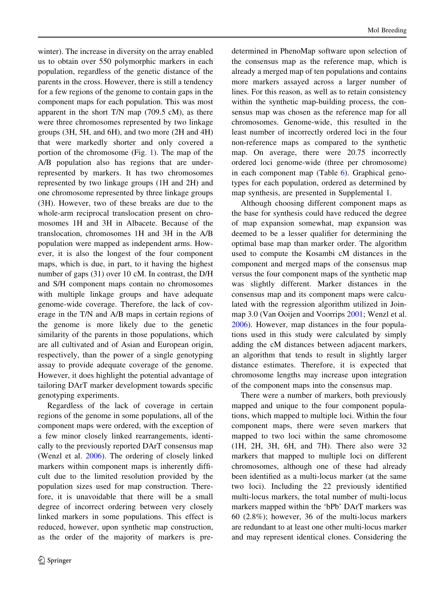winter). The increase in diversity on the array enabled us to obtain over 550 polymorphic markers in each population, regardless of the genetic distance of the parents in the cross. However, there is still a tendency for a few regions of the genome to contain gaps in the component maps for each population. This was most apparent in the short T/N map (709.5 cM), as there were three chromosomes represented by two linkage groups (3H, 5H, and 6H), and two more (2H and 4H) that were markedly shorter and only covered a portion of the chromosome (Fig. [1](#page-5-0)). The map of the A/B population also has regions that are underrepresented by markers. It has two chromosomes represented by two linkage groups (1H and 2H) and one chromosome represented by three linkage groups (3H). However, two of these breaks are due to the whole-arm reciprocal translocation present on chromosomes 1H and 3H in Albacete. Because of the translocation, chromosomes 1H and 3H in the A/B population were mapped as independent arms. However, it is also the longest of the four component maps, which is due, in part, to it having the highest number of gaps (31) over 10 cM. In contrast, the D/H and S/H component maps contain no chromosomes with multiple linkage groups and have adequate genome-wide coverage. Therefore, the lack of coverage in the T/N and A/B maps in certain regions of the genome is more likely due to the genetic similarity of the parents in those populations, which are all cultivated and of Asian and European origin, respectively, than the power of a single genotyping assay to provide adequate coverage of the genome. However, it does highlight the potential advantage of tailoring DArT marker development towards specific genotyping experiments.

Regardless of the lack of coverage in certain regions of the genome in some populations, all of the component maps were ordered, with the exception of a few minor closely linked rearrangements, identically to the previously reported DArT consensus map (Wenzl et al. [2006](#page-15-0)). The ordering of closely linked markers within component maps is inherently difficult due to the limited resolution provided by the population sizes used for map construction. Therefore, it is unavoidable that there will be a small degree of incorrect ordering between very closely linked markers in some populations. This effect is reduced, however, upon synthetic map construction, as the order of the majority of markers is predetermined in PhenoMap software upon selection of the consensus map as the reference map, which is already a merged map of ten populations and contains more markers assayed across a larger number of lines. For this reason, as well as to retain consistency within the synthetic map-building process, the consensus map was chosen as the reference map for all chromosomes. Genome-wide, this resulted in the least number of incorrectly ordered loci in the four non-reference maps as compared to the synthetic map. On average, there were 20.75 incorrectly ordered loci genome-wide (three per chromosome) in each component map (Table [6\)](#page-7-0). Graphical genotypes for each population, ordered as determined by map synthesis, are presented in Supplemental 1.

Although choosing different component maps as the base for synthesis could have reduced the degree of map expansion somewhat, map expansion was deemed to be a lesser qualifier for determining the optimal base map than marker order. The algorithm used to compute the Kosambi cM distances in the component and merged maps of the consensus map versus the four component maps of the synthetic map was slightly different. Marker distances in the consensus map and its component maps were calculated with the regression algorithm utilized in Joinmap 3.0 (Van Ooijen and Voorrips [2001;](#page-15-0) Wenzl et al. [2006\)](#page-15-0). However, map distances in the four populations used in this study were calculated by simply adding the cM distances between adjacent markers, an algorithm that tends to result in slightly larger distance estimates. Therefore, it is expected that chromosome lengths may increase upon integration of the component maps into the consensus map.

There were a number of markers, both previously mapped and unique to the four component populations, which mapped to multiple loci. Within the four component maps, there were seven markers that mapped to two loci within the same chromosome (1H, 2H, 3H, 6H, and 7H). There also were 32 markers that mapped to multiple loci on different chromosomes, although one of these had already been identified as a multi-locus marker (at the same two loci). Including the 22 previously identified multi-locus markers, the total number of multi-locus markers mapped within the 'bPb' DArT markers was 60 (2.8%); however, 36 of the multi-locus markers are redundant to at least one other multi-locus marker and may represent identical clones. Considering the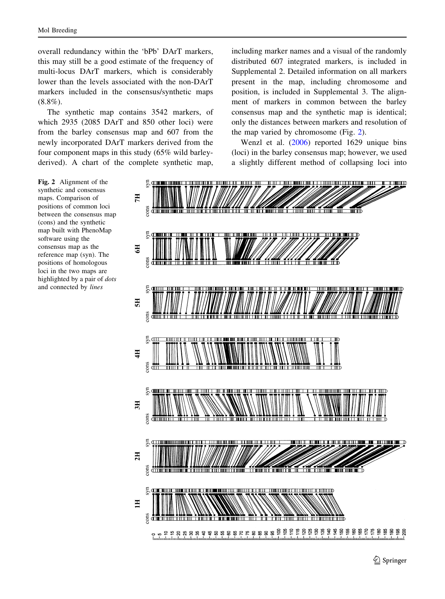overall redundancy within the 'bPb' DArT markers, this may still be a good estimate of the frequency of multi-locus DArT markers, which is considerably lower than the levels associated with the non-DArT markers included in the consensus/synthetic maps  $(8.8\%)$ .

The synthetic map contains 3542 markers, of which 2935 (2085 DArT and 850 other loci) were from the barley consensus map and 607 from the newly incorporated DArT markers derived from the four component maps in this study (65% wild barleyderived). A chart of the complete synthetic map,

including marker names and a visual of the randomly distributed 607 integrated markers, is included in Supplemental 2. Detailed information on all markers present in the map, including chromosome and position, is included in Supplemental 3. The alignment of markers in common between the barley consensus map and the synthetic map is identical; only the distances between markers and resolution of the map varied by chromosome (Fig. 2).

Wenzl et al. ([2006\)](#page-15-0) reported 1629 unique bins (loci) in the barley consensus map; however, we used a slightly different method of collapsing loci into

Fig. 2 Alignment of the synthetic and consensus maps. Comparison of positions of common loci between the consensus map (cons) and the synthetic map built with PhenoMap software using the consensus map as the reference map (syn). The positions of homologous loci in the two maps are highlighted by a pair of *dots* and connected by lines

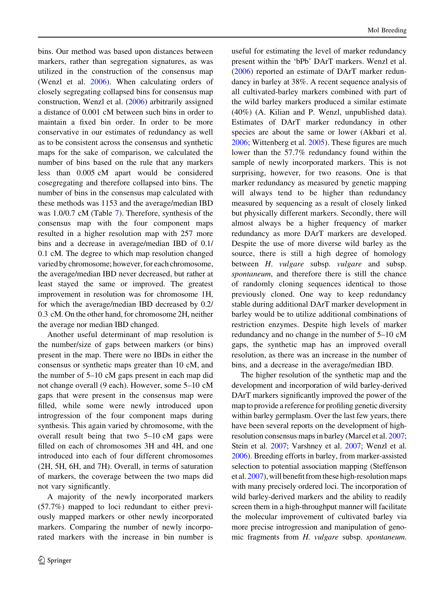bins. Our method was based upon distances between markers, rather than segregation signatures, as was utilized in the construction of the consensus map (Wenzl et al. [2006](#page-15-0)). When calculating orders of closely segregating collapsed bins for consensus map construction, Wenzl et al. [\(2006\)](#page-15-0) arbitrarily assigned a distance of 0.001 cM between such bins in order to maintain a fixed bin order. In order to be more conservative in our estimates of redundancy as well as to be consistent across the consensus and synthetic maps for the sake of comparison, we calculated the number of bins based on the rule that any markers less than 0.005 cM apart would be considered cosegregating and therefore collapsed into bins. The number of bins in the consensus map calculated with these methods was 1153 and the average/median IBD was 1.0/0.7 cM (Table [7](#page-8-0)). Therefore, synthesis of the consensus map with the four component maps resulted in a higher resolution map with 257 more bins and a decrease in average/median IBD of 0.1/ 0.1 cM. The degree to which map resolution changed varied by chromosome; however, for each chromosome, the average/median IBD never decreased, but rather at least stayed the same or improved. The greatest improvement in resolution was for chromosome 1H, for which the average/median IBD decreased by 0.2/ 0.3 cM. On the other hand, for chromosome 2H, neither the average nor median IBD changed.

Another useful determinant of map resolution is the number/size of gaps between markers (or bins) present in the map. There were no IBDs in either the consensus or synthetic maps greater than 10 cM, and the number of 5–10 cM gaps present in each map did not change overall (9 each). However, some 5–10 cM gaps that were present in the consensus map were filled, while some were newly introduced upon introgression of the four component maps during synthesis. This again varied by chromosome, with the overall result being that two 5–10 cM gaps were filled on each of chromosomes 3H and 4H, and one introduced into each of four different chromosomes (2H, 5H, 6H, and 7H). Overall, in terms of saturation of markers, the coverage between the two maps did not vary significantly.

A majority of the newly incorporated markers (57.7%) mapped to loci redundant to either previously mapped markers or other newly incorporated markers. Comparing the number of newly incorporated markers with the increase in bin number is useful for estimating the level of marker redundancy present within the 'bPb' DArT markers. Wenzl et al. [\(2006](#page-15-0)) reported an estimate of DArT marker redundancy in barley at 38%. A recent sequence analysis of all cultivated-barley markers combined with part of the wild barley markers produced a similar estimate (40%) (A. Kilian and P. Wenzl, unpublished data). Estimates of DArT marker redundancy in other species are about the same or lower (Akbari et al. [2006;](#page-14-0) Wittenberg et al. [2005](#page-15-0)). These figures are much lower than the 57.7% redundancy found within the sample of newly incorporated markers. This is not surprising, however, for two reasons. One is that marker redundancy as measured by genetic mapping will always tend to be higher than redundancy measured by sequencing as a result of closely linked but physically different markers. Secondly, there will almost always be a higher frequency of marker redundancy as more DArT markers are developed. Despite the use of more diverse wild barley as the source, there is still a high degree of homology between H. vulgare subsp. vulgare and subsp. spontaneum, and therefore there is still the chance of randomly cloning sequences identical to those previously cloned. One way to keep redundancy stable during additional DArT marker development in barley would be to utilize additional combinations of restriction enzymes. Despite high levels of marker redundancy and no change in the number of 5–10 cM gaps, the synthetic map has an improved overall resolution, as there was an increase in the number of bins, and a decrease in the average/median IBD.

The higher resolution of the synthetic map and the development and incorporation of wild barley-derived DArT markers significantly improved the power of the map to provide a reference for profiling genetic diversity within barley germplasm. Over the last few years, there have been several reports on the development of highresolution consensus maps in barley (Marcel et al. [2007](#page-15-0); Stein et al. [2007](#page-15-0); Varshney et al. [2007;](#page-15-0) Wenzl et al. [2006](#page-15-0)). Breeding efforts in barley, from marker-assisted selection to potential association mapping (Steffenson et al. [2007](#page-15-0)), will benefit from these high-resolution maps with many precisely ordered loci. The incorporation of wild barley-derived markers and the ability to readily screen them in a high-throughput manner will facilitate the molecular improvement of cultivated barley via more precise introgression and manipulation of genomic fragments from H. vulgare subsp. spontaneum.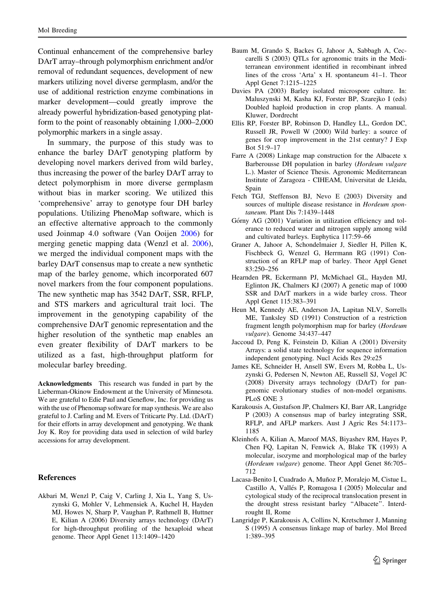<span id="page-14-0"></span>Continual enhancement of the comprehensive barley DArT array–through polymorphism enrichment and/or removal of redundant sequences, development of new markers utilizing novel diverse germplasm, and/or the use of additional restriction enzyme combinations in marker development—could greatly improve the already powerful hybridization-based genotyping platform to the point of reasonably obtaining 1,000–2,000 polymorphic markers in a single assay.

In summary, the purpose of this study was to enhance the barley DArT genotyping platform by developing novel markers derived from wild barley, thus increasing the power of the barley DArT array to detect polymorphism in more diverse germplasm without bias in marker scoring. We utilized this 'comprehensive' array to genotype four DH barley populations. Utilizing PhenoMap software, which is an effective alternative approach to the commonly used Joinmap 4.0 software (Van Ooijen [2006](#page-15-0)) for merging genetic mapping data (Wenzl et al. [2006](#page-15-0)), we merged the individual component maps with the barley DArT consensus map to create a new synthetic map of the barley genome, which incorporated 607 novel markers from the four component populations. The new synthetic map has 3542 DArT, SSR, RFLP, and STS markers and agricultural trait loci. The improvement in the genotyping capability of the comprehensive DArT genomic representation and the higher resolution of the synthetic map enables an even greater flexibility of DArT markers to be utilized as a fast, high-throughput platform for molecular barley breeding.

Acknowledgments This research was funded in part by the Lieberman-Okinow Endowment at the University of Minnesota. We are grateful to Edie Paul and Geneflow, Inc. for providing us with the use of Phenomap software for map synthesis. We are also grateful to J. Carling and M. Evers of Triticarte Pty. Ltd. (DArT) for their efforts in array development and genotyping. We thank Joy K. Roy for providing data used in selection of wild barley accessions for array development.

#### References

Akbari M, Wenzl P, Caig V, Carling J, Xia L, Yang S, Uszynski G, Mohler V, Lehmensiek A, Kuchel H, Hayden MJ, Howes N, Sharp P, Vaughan P, Rathmell B, Huttner E, Kilian A (2006) Diversity arrays technology (DArT) for high-throughput profiling of the hexaploid wheat genome. Theor Appl Genet 113:1409–1420

- Baum M, Grando S, Backes G, Jahoor A, Sabbagh A, Ceccarelli S (2003) QTLs for agronomic traits in the Mediterranean environment identified in recombinant inbred lines of the cross 'Arta' x H. spontaneum 41–1. Theor Appl Genet 7:1215–1225
- Davies PA (2003) Barley isolated microspore culture. In: Maluszynski M, Kasha KJ, Forster BP, Szarejko I (eds) Doubled haploid production in crop plants. A manual. Kluwer, Dordrecht
- Ellis RP, Forster BP, Robinson D, Handley LL, Gordon DC, Russell JR, Powell W (2000) Wild barley: a source of genes for crop improvement in the 21st century? J Exp Bot 51:9–17
- Farre A (2008) Linkage map construction for the Albacete x Barberousse DH population in barley (Hordeum vulgare L.). Master of Science Thesis. Agronomic Mediterranean Institute of Zaragoza - CIHEAM, Universitat de Lleida, Spain
- Fetch TGJ, Steffenson BJ, Nevo E (2003) Diversity and sources of multiple disease resistance in Hordeum spontaneum. Plant Dis 7:1439–1448
- Górny AG (2001) Variation in utilization efficiency and tolerance to reduced water and nitrogen supply among wild and cultivated barleys. Euphytica 117:59–66
- Graner A, Jahoor A, Schondelmaier J, Siedler H, Pillen K, Fischbeck G, Wenzel G, Herrmann RG (1991) Construction of an RFLP map of barley. Theor Appl Genet 83:250–256
- Hearnden PR, Eckermann PJ, McMichael GL, Hayden MJ, Eglinton JK, Chalmers KJ (2007) A genetic map of 1000 SSR and DArT markers in a wide barley cross. Theor Appl Genet 115:383–391
- Heun M, Kennedy AE, Anderson JA, Lapitan NLV, Sorrells ME, Tanksley SD (1991) Construction of a restriction fragment length polymorphism map for barley (Hordeum vulgare). Genome 34:437–447
- Jaccoud D, Peng K, Feinstein D, Kilian A (2001) Diversity Arrays: a solid state technology for sequence information independent genotyping. Nucl Acids Res 29:e25
- James KE, Schneider H, Ansell SW, Evers M, Robba L, Uszynski G, Pedersen N, Newton AE, Russell SJ, Vogel JC (2008) Diversity arrays technology (DArT) for pangenomic evolutionary studies of non-model organisms. PLoS ONE 3
- Karakousis A, Gustafson JP, Chalmers KJ, Barr AR, Langridge P (2003) A consensus map of barley integrating SSR, RFLP, and AFLP markers. Aust J Agric Res 54:1173– 1185
- Kleinhofs A, Kilian A, Maroof MAS, Biyashev RM, Hayes P, Chen FQ, Lapitan N, Fenwick A, Blake TK (1993) A molecular, isozyme and morphological map of the barley (Hordeum vulgare) genome. Theor Appl Genet 86:705– 712
- Lacasa-Benito I, Cuadrado A, Muñoz P, Moralejo M, Cistue L, Castillo A, Vallés P, Romagosa I (2005) Molecular and cytological study of the reciprocal translocation present in the drought stress resistant barley ''Albacete''. Interdrought II, Rome
- Langridge P, Karakousis A, Collins N, Kretschmer J, Manning S (1995) A consensus linkage map of barley. Mol Breed 1:389–395